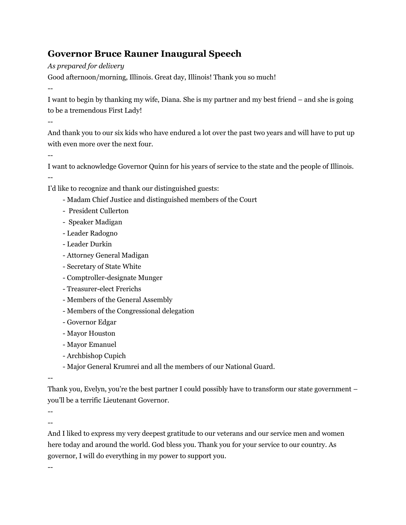## **Governor Bruce Rauner Inaugural Speech**

*As prepared for delivery*

Good afternoon/morning, Illinois. Great day, Illinois! Thank you so much!

--

I want to begin by thanking my wife, Diana. She is my partner and my best friend – and she is going to be a tremendous First Lady!

--

And thank you to our six kids who have endured a lot over the past two years and will have to put up with even more over the next four.

--

I want to acknowledge Governor Quinn for his years of service to the state and the people of Illinois.

--

I'd like to recognize and thank our distinguished guests:

- Madam Chief Justice and distinguished members of the Court
- President Cullerton
- Speaker Madigan
- Leader Radogno
- Leader Durkin
- Attorney General Madigan
- Secretary of State White
- Comptroller-designate Munger
- Treasurer-elect Frerichs
- Members of the General Assembly
- Members of the Congressional delegation
- Governor Edgar
- Mayor Houston
- Mayor Emanuel
- Archbishop Cupich
- Major General Krumrei and all the members of our National Guard.

--

Thank you, Evelyn, you're the best partner I could possibly have to transform our state government – you'll be a terrific Lieutenant Governor.

--

--

And I liked to express my very deepest gratitude to our veterans and our service men and women here today and around the world. God bless you. Thank you for your service to our country. As governor, I will do everything in my power to support you.

--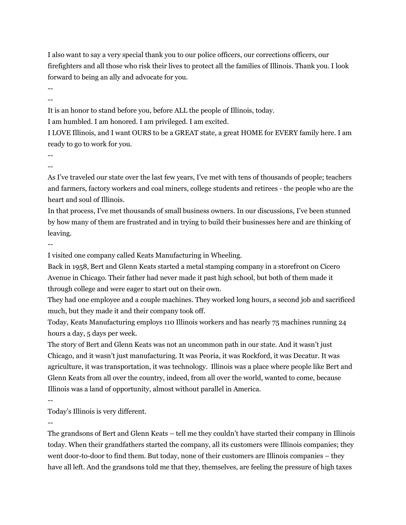I also want to say a very special thank you to our police officers, our corrections officers, our firefighters and all those who risk their lives to protect all the families of Illinois. Thank you. I look forward to being an ally and advocate for you.

-- --

It is an honor to stand before you, before ALL the people of Illinois, today.

I am humbled. I am honored. I am privileged. I am excited.

I LOVE Illinois, and I want OURS to be a GREAT state, a great HOME for EVERY family here. I am ready to go to work for you.

-- --

As I've traveled our state over the last few years, I've met with tens of thousands of people; teachers and farmers, factory workers and coal miners, college students and retirees - the people who are the heart and soul of Illinois.

In that process, I've met thousands of small business owners. In our discussions, I've been stunned by how many of them are frustrated and in trying to build their businesses here and are thinking of leaving.

--

I visited one company called Keats Manufacturing in Wheeling.

Back in 1958, Bert and Glenn Keats started a metal stamping company in a storefront on Cicero Avenue in Chicago. Their father had never made it past high school, but both of them made it through college and were eager to start out on their own.

They had one employee and a couple machines. They worked long hours, a second job and sacrificed much, but they made it and their company took off.

Today, Keats Manufacturing employs 110 Illinois workers and has nearly 75 machines running 24 hours a day, 5 days per week.

The story of Bert and Glenn Keats was not an uncommon path in our state. And it wasn't just Chicago, and it wasn't just manufacturing. It was Peoria, it was Rockford, it was Decatur. It was agriculture, it was transportation, it was technology. Illinois was a place where people like Bert and Glenn Keats from all over the country, indeed, from all over the world, wanted to come, because Illinois was a land of opportunity, almost without parallel in America.

--

Today's Illinois is very different.

--

The grandsons of Bert and Glenn Keats – tell me they couldn't have started their company in Illinois today. When their grandfathers started the company, all its customers were Illinois companies; they went door-to-door to find them. But today, none of their customers are Illinois companies – they have all left. And the grandsons told me that they, themselves, are feeling the pressure of high taxes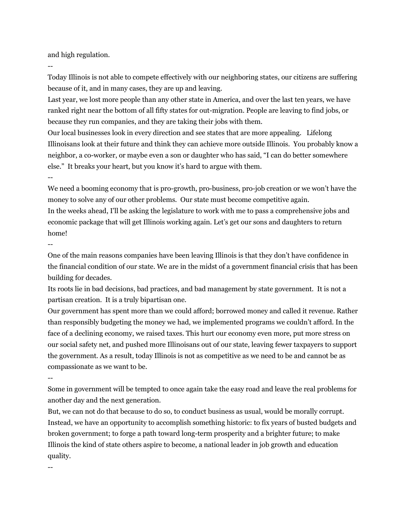and high regulation.

--

Today Illinois is not able to compete effectively with our neighboring states, our citizens are suffering because of it, and in many cases, they are up and leaving.

Last year, we lost more people than any other state in America, and over the last ten years, we have ranked right near the bottom of all fifty states for out-migration. People are leaving to find jobs, or because they run companies, and they are taking their jobs with them.

Our local businesses look in every direction and see states that are more appealing. Lifelong Illinoisans look at their future and think they can achieve more outside Illinois. You probably know a neighbor, a co-worker, or maybe even a son or daughter who has said, "I can do better somewhere else." It breaks your heart, but you know it's hard to argue with them.

--

We need a booming economy that is pro-growth, pro-business, pro-job creation or we won't have the money to solve any of our other problems. Our state must become competitive again. In the weeks ahead, I'll be asking the legislature to work with me to pass a comprehensive jobs and economic package that will get Illinois working again. Let's get our sons and daughters to return home!

--

One of the main reasons companies have been leaving Illinois is that they don't have confidence in the financial condition of our state. We are in the midst of a government financial crisis that has been building for decades.

Its roots lie in bad decisions, bad practices, and bad management by state government. It is not a partisan creation. It is a truly bipartisan one.

Our government has spent more than we could afford; borrowed money and called it revenue. Rather than responsibly budgeting the money we had, we implemented programs we couldn't afford. In the face of a declining economy, we raised taxes. This hurt our economy even more, put more stress on our social safety net, and pushed more Illinoisans out of our state, leaving fewer taxpayers to support the government. As a result, today Illinois is not as competitive as we need to be and cannot be as compassionate as we want to be.

--

Some in government will be tempted to once again take the easy road and leave the real problems for another day and the next generation.

But, we can not do that because to do so, to conduct business as usual, would be morally corrupt. Instead, we have an opportunity to accomplish something historic: to fix years of busted budgets and broken government; to forge a path toward long-term prosperity and a brighter future; to make Illinois the kind of state others aspire to become, a national leader in job growth and education quality.

--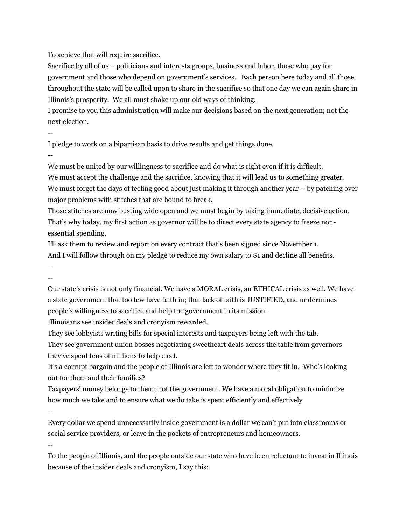To achieve that will require sacrifice.

Sacrifice by all of us – politicians and interests groups, business and labor, those who pay for government and those who depend on government's services. Each person here today and all those throughout the state will be called upon to share in the sacrifice so that one day we can again share in Illinois's prosperity. We all must shake up our old ways of thinking.

I promise to you this administration will make our decisions based on the next generation; not the next election.

--

I pledge to work on a bipartisan basis to drive results and get things done.

--

We must be united by our willingness to sacrifice and do what is right even if it is difficult.

We must accept the challenge and the sacrifice, knowing that it will lead us to something greater. We must forget the days of feeling good about just making it through another year – by patching over major problems with stitches that are bound to break.

Those stitches are now busting wide open and we must begin by taking immediate, decisive action. That's why today, my first action as governor will be to direct every state agency to freeze nonessential spending.

I'll ask them to review and report on every contract that's been signed since November 1. And I will follow through on my pledge to reduce my own salary to \$1 and decline all benefits. --

--

Our state's crisis is not only financial. We have a MORAL crisis, an ETHICAL crisis as well. We have a state government that too few have faith in; that lack of faith is JUSTIFIED, and undermines people's willingness to sacrifice and help the government in its mission.

Illinoisans see insider deals and cronyism rewarded.

They see lobbyists writing bills for special interests and taxpayers being left with the tab.

They see government union bosses negotiating sweetheart deals across the table from governors they've spent tens of millions to help elect.

It's a corrupt bargain and the people of Illinois are left to wonder where they fit in. Who's looking out for them and their families?

Taxpayers' money belongs to them; not the government. We have a moral obligation to minimize how much we take and to ensure what we do take is spent efficiently and effectively

 $-$ 

Every dollar we spend unnecessarily inside government is a dollar we can't put into classrooms or social service providers, or leave in the pockets of entrepreneurs and homeowners.

--

To the people of Illinois, and the people outside our state who have been reluctant to invest in Illinois because of the insider deals and cronyism, I say this: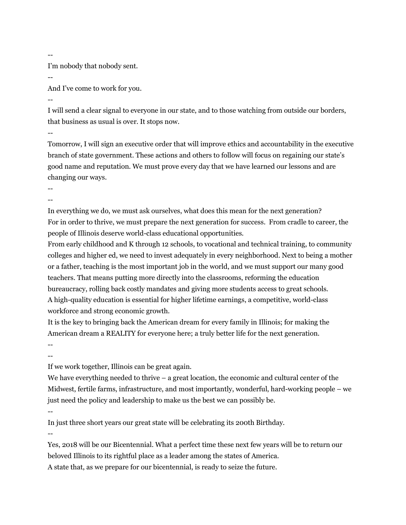--

I'm nobody that nobody sent.

--

And I've come to work for you.

--

I will send a clear signal to everyone in our state, and to those watching from outside our borders, that business as usual is over. It stops now.

--

Tomorrow, I will sign an executive order that will improve ethics and accountability in the executive branch of state government. These actions and others to follow will focus on regaining our state's good name and reputation. We must prove every day that we have learned our lessons and are changing our ways.

--

--

In everything we do, we must ask ourselves, what does this mean for the next generation? For in order to thrive, we must prepare the next generation for success. From cradle to career, the people of Illinois deserve world-class educational opportunities.

From early childhood and K through 12 schools, to vocational and technical training, to community colleges and higher ed, we need to invest adequately in every neighborhood. Next to being a mother or a father, teaching is the most important job in the world, and we must support our many good teachers. That means putting more directly into the classrooms, reforming the education bureaucracy, rolling back costly mandates and giving more students access to great schools. A high-quality education is essential for higher lifetime earnings, a competitive, world-class workforce and strong economic growth.

It is the key to bringing back the American dream for every family in Illinois; for making the American dream a REALITY for everyone here; a truly better life for the next generation.

--

--

If we work together, Illinois can be great again.

We have everything needed to thrive  $-$  a great location, the economic and cultural center of the Midwest, fertile farms, infrastructure, and most importantly, wonderful, hard-working people – we just need the policy and leadership to make us the best we can possibly be.

--

In just three short years our great state will be celebrating its 200th Birthday.

--

Yes, 2018 will be our Bicentennial. What a perfect time these next few years will be to return our beloved Illinois to its rightful place as a leader among the states of America. A state that, as we prepare for our bicentennial, is ready to seize the future.